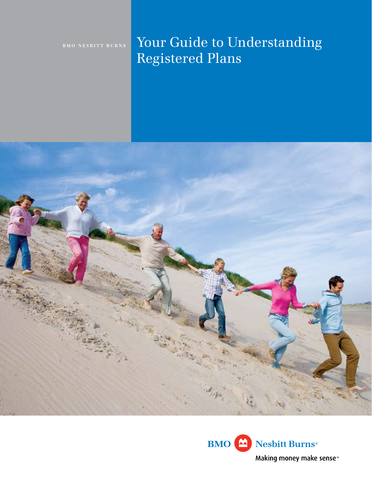# **BMO NESBITT BURNS** Your Guide to Understanding Registered Plans



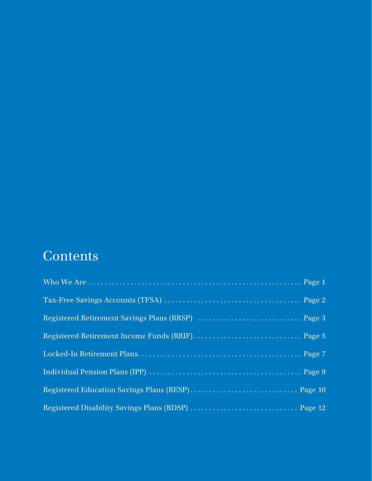## **Contents**

| Registered Education Savings Plans (RESP) Page 10 |  |
|---------------------------------------------------|--|
|                                                   |  |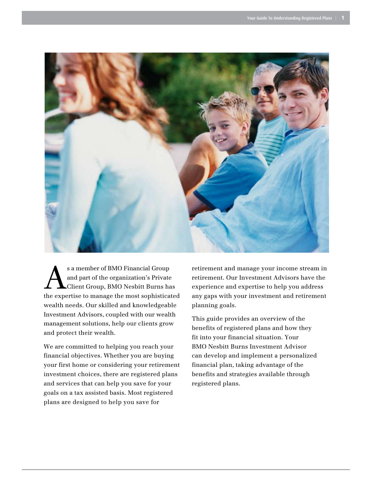

s a member of BMO Financial Group and part of the organization's Private Client Group, BMO Nesbitt Burns has the expertise to manage the most sophisticated wealth needs. Our skilled and knowledgeable Investment Advisors, coupled with our wealth management solutions, help our clients grow and protect their wealth.

We are committed to helping you reach your financial objectives. Whether you are buying your first home or considering your retirement investment choices, there are registered plans and services that can help you save for your goals on a tax assisted basis. Most registered plans are designed to help you save for

retirement and manage your income stream in retirement. Our Investment Advisors have the experience and expertise to help you address any gaps with your investment and retirement planning goals.

This guide provides an overview of the benefits of registered plans and how they fit into your financial situation. Your BMO Nesbitt Burns Investment Advisor can develop and implement a personalized financial plan, taking advantage of the benefits and strategies available through registered plans.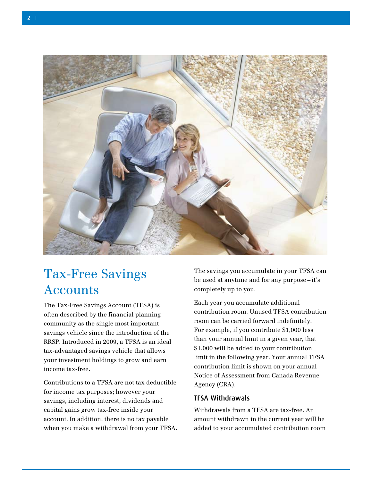

### Tax-Free Savings **Accounts**

The Tax-Free Savings Account (TFSA) is often described by the financial planning community as the single most important savings vehicle since the introduction of the RRSP. Introduced in 2009, a TFSA is an ideal tax-advantaged savings vehicle that allows your investment holdings to grow and earn income tax-free.

Contributions to a TFSA are not tax deductible for income tax purposes; however your savings, including interest, dividends and capital gains grow tax-free inside your account. In addition, there is no tax payable when you make a withdrawal from your TFSA. The savings you accumulate in your TFSA can be used at anytime and for any purpose – it's completely up to you.

Each year you accumulate additional contribution room. Unused TFSA contribution room can be carried forward indefinitely. For example, if you contribute \$1,000 less than your annual limit in a given year, that \$1,000 will be added to your contribution limit in the following year. Your annual TFSA contribution limit is shown on your annual Notice of Assessment from Canada Revenue Agency (CRA).

#### TFSA Withdrawals

Withdrawals from a TFSA are tax-free. An amount withdrawn in the current year will be added to your accumulated contribution room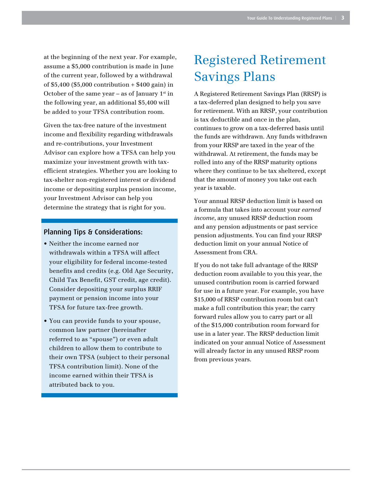at the beginning of the next year. For example, assume a \$5,000 contribution is made in June of the current year, followed by a withdrawal of \$5,400 (\$5,000 contribution + \$400 gain) in October of the same year – as of January  $1<sup>st</sup>$  in the following year, an additional \$5,400 will be added to your TFSA contribution room.

Given the tax-free nature of the investment income and flexibility regarding withdrawals and re-contributions, your Investment Advisor can explore how a TFSA can help you maximize your investment growth with taxefficient strategies. Whether you are looking to tax-shelter non-registered interest or dividend income or depositing surplus pension income, your Investment Advisor can help you determine the strategy that is right for you.

#### Planning Tips & Considerations:

- Neither the income earned nor withdrawals within a TFSA will affect your eligibility for federal income-tested benefits and credits (e.g. Old Age Security, Child Tax Benefit, GST credit, age credit). Consider depositing your surplus RRIF payment or pension income into your TFSA for future tax-free growth.
- • You can provide funds to your spouse, common law partner (hereinafter referred to as "spouse") or even adult children to allow them to contribute to their own TFSA (subject to their personal TFSA contribution limit). None of the income earned within their TFSA is attributed back to you.

### Registered Retirement Savings Plans

A Registered Retirement Savings Plan (RRSP) is a tax-deferred plan designed to help you save for retirement. With an RRSP, your contribution is tax deductible and once in the plan, continues to grow on a tax-deferred basis until the funds are withdrawn. Any funds withdrawn from your RRSP are taxed in the year of the withdrawal. At retirement, the funds may be rolled into any of the RRSP maturity options where they continue to be tax sheltered, except that the amount of money you take out each year is taxable.

Your annual RRSP deduction limit is based on a formula that takes into account your *earned income*, any unused RRSP deduction room and any pension adjustments or past service pension adjustments. You can find your RRSP deduction limit on your annual Notice of Assessment from CRA.

If you do not take full advantage of the RRSP deduction room available to you this year, the unused contribution room is carried forward for use in a future year. For example, you have \$15,000 of RRSP contribution room but can't make a full contribution this year; the carry forward rules allow you to carry part or all of the \$15,000 contribution room forward for use in a later year. The RRSP deduction limit indicated on your annual Notice of Assessment will already factor in any unused RRSP room from previous years.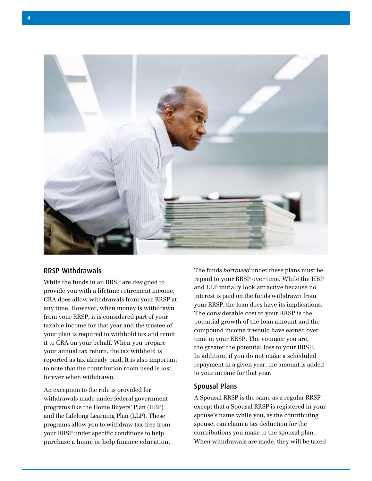

#### RRSP Withdrawals

While the funds in an RRSP are designed to provide you with a lifetime retirement income, CRA does allow withdrawals from your RRSP at any time. However, when money is withdrawn from your RRSP, it is considered part of your taxable income for that year and the trustee of your plan is required to withhold tax and remit it to CRA on your behalf. When you prepare your annual tax return, the tax withheld is reported as tax already paid. It is also important to note that the contribution room used is lost forever when withdrawn.

An exception to the rule is provided for withdrawals made under federal government programs like the Home Buyers' Plan (HBP) and the Lifelong Learning Plan (LLP). These programs allow you to withdraw tax-free from your RRSP under specific conditions to help purchase a home or help finance education.

The funds *borrowed* under these plans must be repaid to your RRSP over time. While the HBP and LLP initially look attractive because no interest is paid on the funds withdrawn from your RRSP, the loan does have its implications. The considerable cost to your RRSP is the potential growth of the loan amount and the compound income it would have earned over time in your RRSP. The younger you are, the greater the potential loss to your RRSP. In addition, if you do not make a scheduled repayment in a given year, the amount is added to your income for that year.

#### Spousal Plans

A Spousal RRSP is the same as a regular RRSP except that a Spousal RRSP is registered in your spouse's name while you, as the contributing spouse, can claim a tax deduction for the contributions you make to the spousal plan. When withdrawals are made, they will be taxed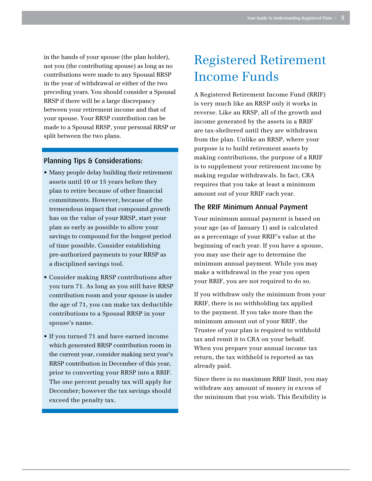in the hands of your spouse (the plan holder), not you (the contributing spouse) as long as no contributions were made to any Spousal RRSP in the year of withdrawal or either of the two preceding years. You should consider a Spousal RRSP if there will be a large discrepancy between your retirement income and that of your spouse. Your RRSP contribution can be made to a Spousal RRSP, your personal RRSP or split between the two plans.

#### Planning Tips & Considerations:

- Many people delay building their retirement assets until 10 or 15 years before they plan to retire because of other financial commitments. However, because of the tremendous impact that compound growth has on the value of your RRSP, start your plan as early as possible to allow your savings to compound for the longest period of time possible. Consider establishing pre-authorized payments to your RRSP as a disciplined savings tool.
- • Consider making RRSP contributions after you turn 71. As long as you still have RRSP contribution room and your spouse is under the age of 71, you can make tax deductible contributions to a Spousal RRSP in your spouse's name.
- If you turned 71 and have earned income which generated RRSP contribution room in the current year, consider making next year's RRSP contribution in December of this year, prior to converting your RRSP into a RRIF. The one percent penalty tax will apply for December; however the tax savings should exceed the penalty tax.

### Registered Retirement Income Funds

A Registered Retirement Income Fund (RRIF) is very much like an RRSP only it works in reverse. Like an RRSP, all of the growth and income generated by the assets in a RRIF are tax-sheltered until they are withdrawn from the plan. Unlike an RRSP, where your purpose is to build retirement assets by making contributions, the purpose of a RRIF is to supplement your retirement income by making regular withdrawals. In fact, CRA requires that you take at least a minimum amount out of your RRIF each year.

#### The RRIF Minimum Annual Payment

Your minimum annual payment is based on your age (as of January 1) and is calculated as a percentage of your RRIF's value at the beginning of each year. If you have a spouse, you may use their age to determine the minimum annual payment. While you may make a withdrawal in the year you open your RRIF, you are not required to do so.

If you withdraw only the minimum from your RRIF, there is no withholding tax applied to the payment. If you take more than the minimum amount out of your RRIF, the Trustee of your plan is required to withhold tax and remit it to CRA on your behalf. When you prepare your annual income tax return, the tax withheld is reported as tax already paid.

Since there is no maximum RRIF limit, you may withdraw any amount of money in excess of the minimum that you wish. This flexibility is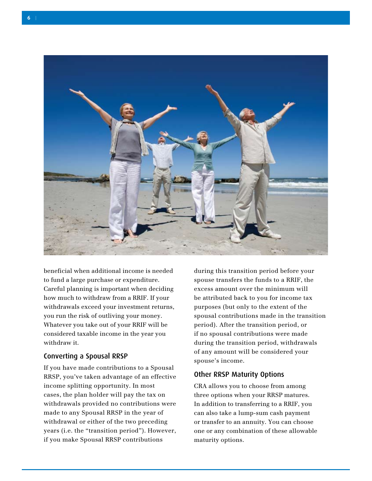

beneficial when additional income is needed to fund a large purchase or expenditure. Careful planning is important when deciding how much to withdraw from a RRIF. If your withdrawals exceed your investment returns, you run the risk of outliving your money. Whatever you take out of your RRIF will be considered taxable income in the year you withdraw it.

#### Converting a Spousal RRSP

If you have made contributions to a Spousal RRSP, you've taken advantage of an effective income splitting opportunity. In most cases, the plan holder will pay the tax on withdrawals provided no contributions were made to any Spousal RRSP in the year of withdrawal or either of the two preceding years (i.e. the "transition period"). However, if you make Spousal RRSP contributions

during this transition period before your spouse transfers the funds to a RRIF, the excess amount over the minimum will be attributed back to you for income tax purposes (but only to the extent of the spousal contributions made in the transition period). After the transition period, or if no spousal contributions were made during the transition period, withdrawals of any amount will be considered your spouse's income.

#### Other RRSP Maturity Options

CRA allows you to choose from among three options when your RRSP matures. In addition to transferring to a RRIF, you can also take a lump-sum cash payment or transfer to an annuity. You can choose one or any combination of these allowable maturity options.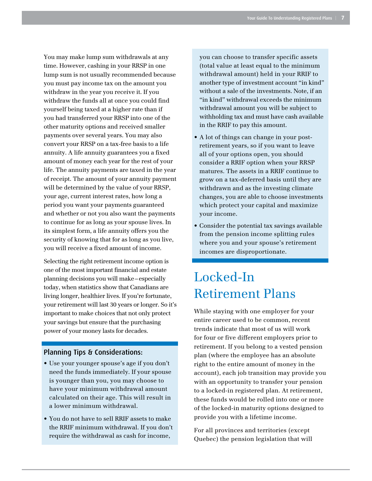You may make lump sum withdrawals at any time. However, cashing in your RRSP in one lump sum is not usually recommended because you must pay income tax on the amount you withdraw in the year you receive it. If you withdraw the funds all at once you could find yourself being taxed at a higher rate than if you had transferred your RRSP into one of the other maturity options and received smaller payments over several years. You may also convert your RRSP on a tax-free basis to a life annuity. A life annuity guarantees you a fixed amount of money each year for the rest of your life. The annuity payments are taxed in the year of receipt. The amount of your annuity payment will be determined by the value of your RRSP, your age, current interest rates, how long a period you want your payments guaranteed and whether or not you also want the payments to continue for as long as your spouse lives. In its simplest form, a life annuity offers you the security of knowing that for as long as you live, you will receive a fixed amount of income.

Selecting the right retirement income option is one of the most important financial and estate planning decisions you will make–especially today, when statistics show that Canadians are living longer, healthier lives. If you're fortunate, your retirement will last 30 years or longer. So it's important to make choices that not only protect your savings but ensure that the purchasing power of your money lasts for decades.

#### Planning Tips & Considerations:

- Use your younger spouse's age if you don't need the funds immediately. If your spouse is younger than you, you may choose to have your minimum withdrawal amount calculated on their age. This will result in a lower minimum withdrawal.
- You do not have to sell RRIF assets to make the RRIF minimum withdrawal. If you don't require the withdrawal as cash for income,

you can choose to transfer specific assets (total value at least equal to the minimum withdrawal amount) held in your RRIF to another type of investment account "in kind" without a sale of the investments. Note, if an "in kind" withdrawal exceeds the minimum withdrawal amount you will be subject to withholding tax and must have cash available in the RRIF to pay this amount.

- • A lot of things can change in your postretirement years, so if you want to leave all of your options open, you should consider a RRIF option when your RRSP matures. The assets in a RRIF continue to grow on a tax-deferred basis until they are withdrawn and as the investing climate changes, you are able to choose investments which protect your capital and maximize your income.
- Consider the potential tax savings available from the pension income splitting rules where you and your spouse's retirement incomes are disproportionate.

### Locked-In Retirement Plans

While staying with one employer for your entire career used to be common, recent trends indicate that most of us will work for four or five different employers prior to retirement. If you belong to a vested pension plan (where the employee has an absolute right to the entire amount of money in the account), each job transition may provide you with an opportunity to transfer your pension to a locked-in registered plan. At retirement, these funds would be rolled into one or more of the locked-in maturity options designed to provide you with a lifetime income.

For all provinces and territories (except Quebec) the pension legislation that will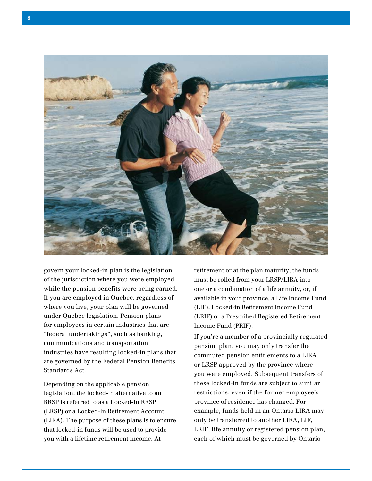

govern your locked-in plan is the legislation of the jurisdiction where you were employed while the pension benefits were being earned. If you are employed in Quebec, regardless of where you live, your plan will be governed under Quebec legislation. Pension plans for employees in certain industries that are "federal undertakings", such as banking, communications and transportation industries have resulting locked-in plans that are governed by the Federal Pension Benefits Standards Act.

Depending on the applicable pension legislation, the locked-in alternative to an RRSP is referred to as a Locked-In RRSP (LRSP) or a Locked-In Retirement Account (LIRA). The purpose of these plans is to ensure that locked-in funds will be used to provide you with a lifetime retirement income. At

retirement or at the plan maturity, the funds must be rolled from your LRSP/LIRA into one or a combination of a life annuity, or, if available in your province, a Life Income Fund (LIF), Locked-in Retirement Income Fund (LRIF) or a Prescribed Registered Retirement Income Fund (PRIF).

If you're a member of a provincially regulated pension plan, you may only transfer the commuted pension entitlements to a LIRA or LRSP approved by the province where you were employed. Subsequent transfers of these locked-in funds are subject to similar restrictions, even if the former employee's province of residence has changed. For example, funds held in an Ontario LIRA may only be transferred to another LIRA, LIF, LRIF, life annuity or registered pension plan, each of which must be governed by Ontario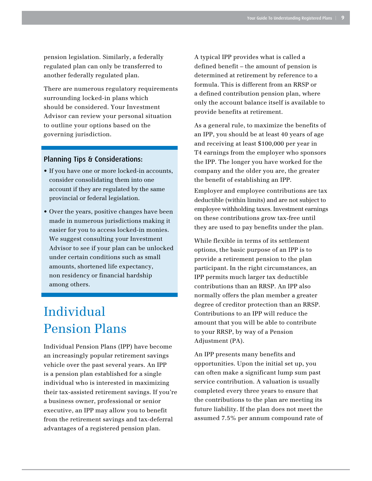pension legislation. Similarly, a federally regulated plan can only be transferred to another federally regulated plan.

There are numerous regulatory requirements surrounding locked-in plans which should be considered. Your Investment Advisor can review your personal situation to outline your options based on the governing jurisdiction.

#### Planning Tips & Considerations:

- If you have one or more locked-in accounts, consider consolidating them into one account if they are regulated by the same provincial or federal legislation.
- Over the years, positive changes have been made in numerous jurisdictions making it easier for you to access locked-in monies. We suggest consulting your Investment Advisor to see if your plan can be unlocked under certain conditions such as small amounts, shortened life expectancy, non residency or financial hardship among others.

### Individual Pension Plans

Individual Pension Plans (IPP) have become an increasingly popular retirement savings vehicle over the past several years. An IPP is a pension plan established for a single individual who is interested in maximizing their tax-assisted retirement savings. If you're a business owner, professional or senior executive, an IPP may allow you to benefit from the retirement savings and tax-deferral advantages of a registered pension plan.

A typical IPP provides what is called a defined benefit – the amount of pension is determined at retirement by reference to a formula. This is different from an RRSP or a defined contribution pension plan, where only the account balance itself is available to provide benefits at retirement.

As a general rule, to maximize the benefits of an IPP, you should be at least 40 years of age and receiving at least \$100,000 per year in T4 earnings from the employer who sponsors the IPP. The longer you have worked for the company and the older you are, the greater the benefit of establishing an IPP.

Employer and employee contributions are tax deductible (within limits) and are not subject to employee withholding taxes. Investment earnings on these contributions grow tax-free until they are used to pay benefits under the plan.

While flexible in terms of its settlement options, the basic purpose of an IPP is to provide a retirement pension to the plan participant. In the right circumstances, an IPP permits much larger tax deductible contributions than an RRSP. An IPP also normally offers the plan member a greater degree of creditor protection than an RRSP. Contributions to an IPP will reduce the amount that you will be able to contribute to your RRSP, by way of a Pension Adjustment (PA).

An IPP presents many benefits and opportunities. Upon the initial set up, you can often make a significant lump sum past service contribution. A valuation is usually completed every three years to ensure that the contributions to the plan are meeting its future liability. If the plan does not meet the assumed 7.5% per annum compound rate of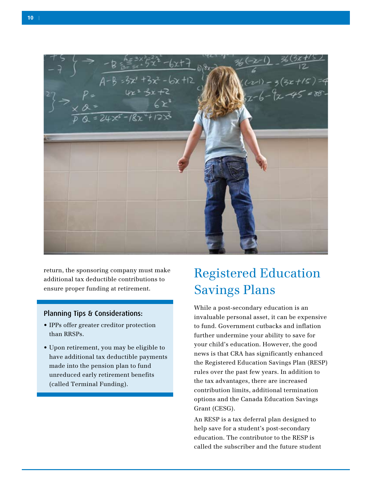

return, the sponsoring company must make additional tax deductible contributions to ensure proper funding at retirement.

#### Planning Tips & Considerations:

- IPPs offer greater creditor protection than RRSPs.
- • Upon retirement, you may be eligible to have additional tax deductible payments made into the pension plan to fund unreduced early retirement benefits (called Terminal Funding).

### Registered Education Savings Plans

While a post-secondary education is an invaluable personal asset, it can be expensive to fund. Government cutbacks and inflation further undermine your ability to save for your child's education. However, the good news is that CRA has significantly enhanced the Registered Education Savings Plan (RESP) rules over the past few years. In addition to the tax advantages, there are increased contribution limits, additional termination options and the Canada Education Savings Grant (CESG).

An RESP is a tax deferral plan designed to help save for a student's post-secondary education. The contributor to the RESP is called the subscriber and the future student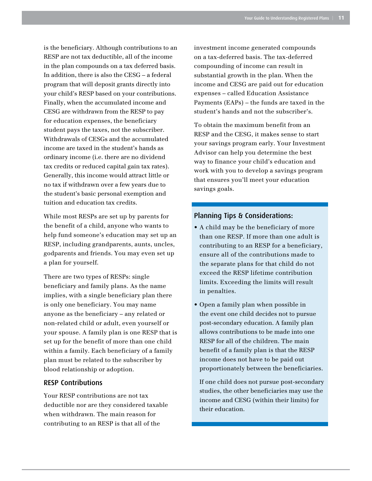is the beneficiary. Although contributions to an RESP are not tax deductible, all of the income in the plan compounds on a tax deferred basis. In addition, there is also the CESG – a federal program that will deposit grants directly into your child's RESP based on your contributions. Finally, when the accumulated income and CESG are withdrawn from the RESP to pay for education expenses, the beneficiary student pays the taxes, not the subscriber. Withdrawals of CESGs and the accumulated income are taxed in the student's hands as ordinary income (i.e. there are no dividend tax credits or reduced capital gain tax rates). Generally, this income would attract little or no tax if withdrawn over a few years due to the student's basic personal exemption and tuition and education tax credits.

While most RESPs are set up by parents for the benefit of a child, anyone who wants to help fund someone's education may set up an RESP, including grandparents, aunts, uncles, godparents and friends. You may even set up a plan for yourself.

There are two types of RESPs: single beneficiary and family plans. As the name implies, with a single beneficiary plan there is only one beneficiary. You may name anyone as the beneficiary – any related or non-related child or adult, even yourself or your spouse. A family plan is one RESP that is set up for the benefit of more than one child within a family. Each beneficiary of a family plan must be related to the subscriber by blood relationship or adoption.

#### RESP Contributions

Your RESP contributions are not tax deductible nor are they considered taxable when withdrawn. The main reason for contributing to an RESP is that all of the

investment income generated compounds on a tax-deferred basis. The tax-deferred compounding of income can result in substantial growth in the plan. When the income and CESG are paid out for education expenses – called Education Assistance Payments (EAPs) – the funds are taxed in the student's hands and not the subscriber's.

To obtain the maximum benefit from an RESP and the CESG, it makes sense to start your savings program early. Your Investment Advisor can help you determine the best way to finance your child's education and work with you to develop a savings program that ensures you'll meet your education savings goals.

#### Planning Tips & Considerations:

- • A child may be the beneficiary of more than one RESP. If more than one adult is contributing to an RESP for a beneficiary, ensure all of the contributions made to the separate plans for that child do not exceed the RESP lifetime contribution limits. Exceeding the limits will result in penalties.
- • Open a family plan when possible in the event one child decides not to pursue post-secondary education. A family plan allows contributions to be made into one RESP for all of the children. The main benefit of a family plan is that the RESP income does not have to be paid out proportionately between the beneficiaries.

If one child does not pursue post-secondary studies, the other beneficiaries may use the income and CESG (within their limits) for their education.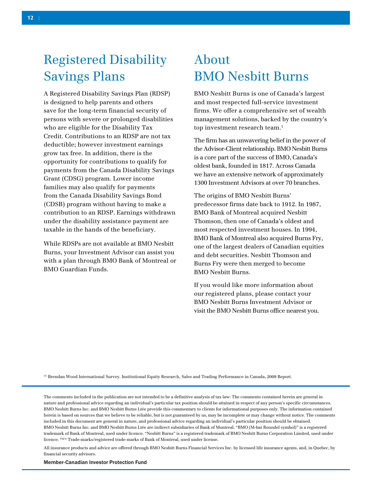## Registered Disability Savings Plans

A Registered Disability Savings Plan (RDSP) is designed to help parents and others save for the long-term financial security of persons with severe or prolonged disabilities who are eligible for the Disability Tax Credit. Contributions to an RDSP are not tax deductible; however investment earnings grow tax free. In addition, there is the opportunity for contributions to qualify for payments from the Canada Disability Savings Grant (CDSG) program. Lower income families may also qualify for payments from the Canada Disability Savings Bond (CDSB) program without having to make a contribution to an RDSP. Earnings withdrawn under the disability assistance payment are taxable in the hands of the beneficiary.

While RDSPs are not available at BMO Nesbitt Burns, your Investment Advisor can assist you with a plan through BMO Bank of Montreal or BMO Guardian Funds.

## About BMO Nesbitt Burns

BMO Nesbitt Burns is one of Canada's largest and most respected full-service investment firms. We offer a comprehensive set of wealth management solutions, backed by the country's top investment research team. 1

The firm has an unwavering belief in the power of the Advisor-Client relationship. BMO Nesbitt Burns is a core part of the success of BMO, Canada's oldest bank, founded in 1817. Across Canada we have an extensive network of approximately 1300 Investment Advisors at over 70 branches.

The origins of BMO Nesbitt Burns' predecessor firms date back to 1912. In 1987, BMO Bank of Montreal acquired Nesbitt Thomson, then one of Canada's oldest and most respected investment houses. In 1994, BMO Bank of Montreal also acquired Burns Fry, one of the largest dealers of Canadian equities and debt securities. Nesbitt Thomson and Burns Fry were then merged to become BMO Nesbitt Burns.

If you would like more information about our registered plans, please contact your BMO Nesbitt Burns Investment Advisor or visit the BMO Nesbitt Burns office nearest you.

(1) Brendan Wood International Survey. Institutional Equity Research, Sales and Trading Performance in Canada, 2009 Report.

The comments included in the publication are not intended to be a definitive analysis of tax law: The comments contained herein are general in nature and professional advice regarding an individual's particular tax position should be attained in respect of any person's specific circumstances. BMO Nesbitt Burns Inc. and BMO Nesbitt Burns Ltée provide this commentary to clients for informational purposes only. The information contained herein is based on sources that we believe to be reliable, but is not guaranteed by us, may be incomplete or may change without notice. The comments included in this document are general in nature, and professional advice regarding an individual's particular position should be obtained. BMO Nesbitt Burns Inc. and BMO Nesbitt Burns Ltée are indirect subsidiaries of Bank of Montreal. "BMO (M-bar Roundel symbol)" is a registered trademark of Bank of Montreal, used under licence. "Nesbitt Burns" is a registered trademark of BMO Nesbitt Burns Corporation Limited, used under licence. TM/® Trade-marks/registered trade-marks of Bank of Montreal, used under license.

All insurance products and advice are offered through BMO Nesbitt Burns Financial Services Inc. by licensed life insurance agents, and, in Quebec, by financial security advisors.

Member-Canadian Investor Protection Fund